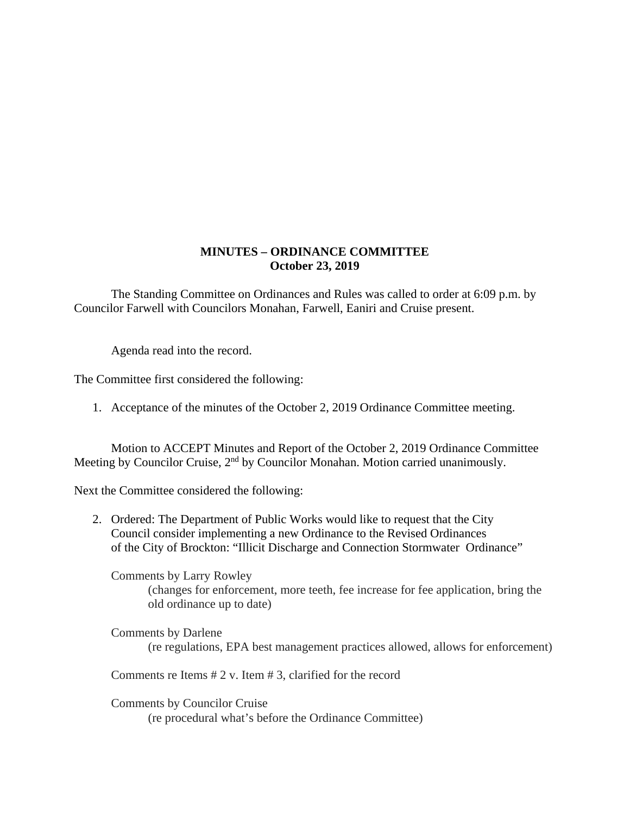## **MINUTES – ORDINANCE COMMITTEE October 23, 2019**

The Standing Committee on Ordinances and Rules was called to order at 6:09 p.m. by Councilor Farwell with Councilors Monahan, Farwell, Eaniri and Cruise present.

Agenda read into the record.

The Committee first considered the following:

1. Acceptance of the minutes of the October 2, 2019 Ordinance Committee meeting.

 Motion to ACCEPT Minutes and Report of the October 2, 2019 Ordinance Committee Meeting by Councilor Cruise, 2<sup>nd</sup> by Councilor Monahan. Motion carried unanimously.

Next the Committee considered the following:

2. Ordered: The Department of Public Works would like to request that the City Council consider implementing a new Ordinance to the Revised Ordinances of the City of Brockton: "Illicit Discharge and Connection Stormwater Ordinance"

 Comments by Larry Rowley (changes for enforcement, more teeth, fee increase for fee application, bring the old ordinance up to date)

 Comments by Darlene (re regulations, EPA best management practices allowed, allows for enforcement)

Comments re Items # 2 v. Item # 3, clarified for the record

 Comments by Councilor Cruise (re procedural what's before the Ordinance Committee)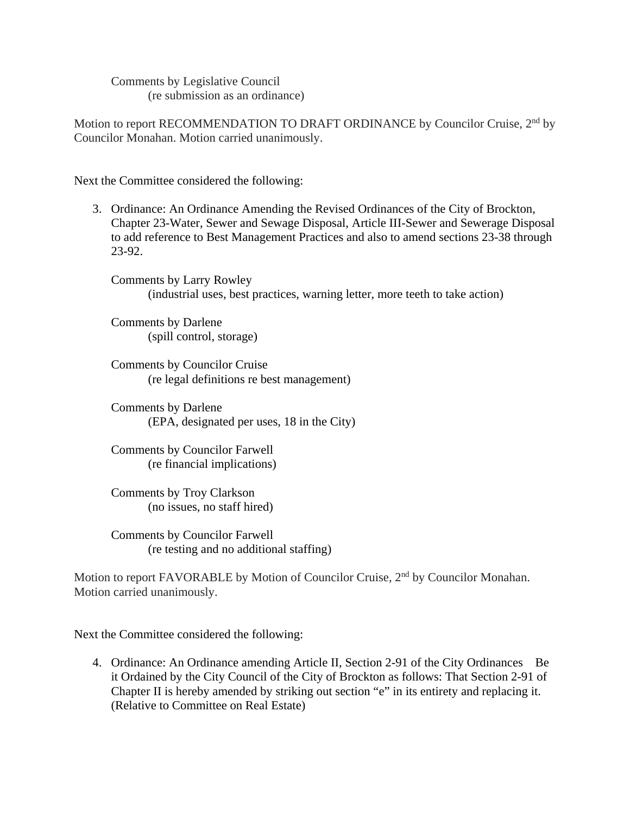Comments by Legislative Council (re submission as an ordinance)

Motion to report RECOMMENDATION TO DRAFT ORDINANCE by Councilor Cruise, 2<sup>nd</sup> by Councilor Monahan. Motion carried unanimously.

Next the Committee considered the following:

3. Ordinance: An Ordinance Amending the Revised Ordinances of the City of Brockton, Chapter 23-Water, Sewer and Sewage Disposal, Article III-Sewer and Sewerage Disposal to add reference to Best Management Practices and also to amend sections 23-38 through 23-92.

 Comments by Larry Rowley (industrial uses, best practices, warning letter, more teeth to take action)

 Comments by Darlene (spill control, storage)

 Comments by Councilor Cruise (re legal definitions re best management)

 Comments by Darlene (EPA, designated per uses, 18 in the City)

 Comments by Councilor Farwell (re financial implications)

 Comments by Troy Clarkson (no issues, no staff hired)

 Comments by Councilor Farwell (re testing and no additional staffing)

Motion to report FAVORABLE by Motion of Councilor Cruise, 2<sup>nd</sup> by Councilor Monahan. Motion carried unanimously.

Next the Committee considered the following:

4. Ordinance: An Ordinance amending Article II, Section 2-91 of the City Ordinances Be it Ordained by the City Council of the City of Brockton as follows: That Section 2-91 of Chapter II is hereby amended by striking out section "e" in its entirety and replacing it. (Relative to Committee on Real Estate)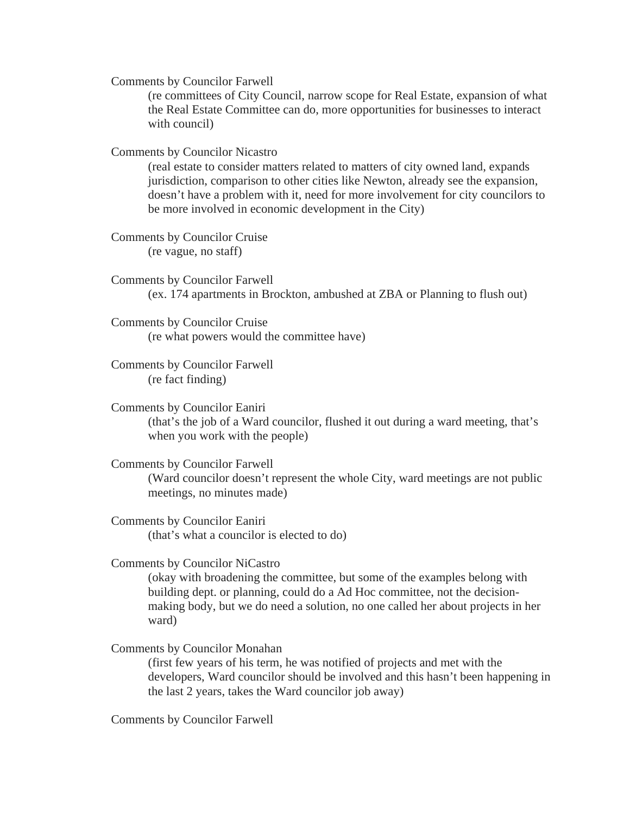Comments by Councilor Farwell

(re committees of City Council, narrow scope for Real Estate, expansion of what the Real Estate Committee can do, more opportunities for businesses to interact with council)

Comments by Councilor Nicastro

(real estate to consider matters related to matters of city owned land, expands jurisdiction, comparison to other cities like Newton, already see the expansion, doesn't have a problem with it, need for more involvement for city councilors to be more involved in economic development in the City)

 Comments by Councilor Cruise (re vague, no staff)

 Comments by Councilor Farwell (ex. 174 apartments in Brockton, ambushed at ZBA or Planning to flush out)

 Comments by Councilor Cruise (re what powers would the committee have)

 Comments by Councilor Farwell (re fact finding)

 Comments by Councilor Eaniri (that's the job of a Ward councilor, flushed it out during a ward meeting, that's when you work with the people)

Comments by Councilor Farwell

(Ward councilor doesn't represent the whole City, ward meetings are not public meetings, no minutes made)

 Comments by Councilor Eaniri (that's what a councilor is elected to do)

Comments by Councilor NiCastro

(okay with broadening the committee, but some of the examples belong with building dept. or planning, could do a Ad Hoc committee, not the decisionmaking body, but we do need a solution, no one called her about projects in her ward)

Comments by Councilor Monahan

(first few years of his term, he was notified of projects and met with the developers, Ward councilor should be involved and this hasn't been happening in the last 2 years, takes the Ward councilor job away)

Comments by Councilor Farwell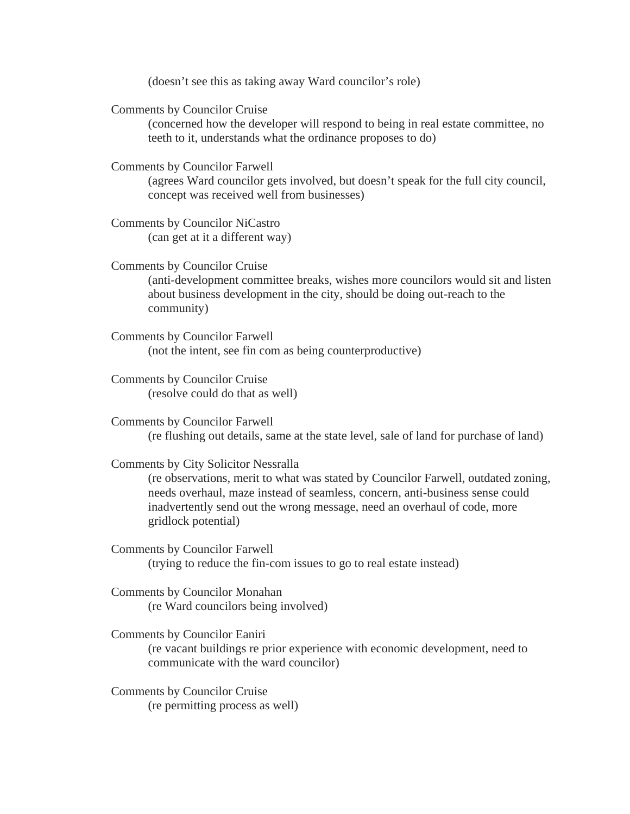(doesn't see this as taking away Ward councilor's role)

Comments by Councilor Cruise

(concerned how the developer will respond to being in real estate committee, no teeth to it, understands what the ordinance proposes to do)

Comments by Councilor Farwell

(agrees Ward councilor gets involved, but doesn't speak for the full city council, concept was received well from businesses)

 Comments by Councilor NiCastro (can get at it a different way)

Comments by Councilor Cruise

(anti-development committee breaks, wishes more councilors would sit and listen about business development in the city, should be doing out-reach to the community)

 Comments by Councilor Farwell (not the intent, see fin com as being counterproductive)

 Comments by Councilor Cruise (resolve could do that as well)

 Comments by Councilor Farwell (re flushing out details, same at the state level, sale of land for purchase of land)

Comments by City Solicitor Nessralla

(re observations, merit to what was stated by Councilor Farwell, outdated zoning, needs overhaul, maze instead of seamless, concern, anti-business sense could inadvertently send out the wrong message, need an overhaul of code, more gridlock potential)

 Comments by Councilor Farwell (trying to reduce the fin-com issues to go to real estate instead)

 Comments by Councilor Monahan (re Ward councilors being involved)

 Comments by Councilor Eaniri (re vacant buildings re prior experience with economic development, need to communicate with the ward councilor)

 Comments by Councilor Cruise (re permitting process as well)